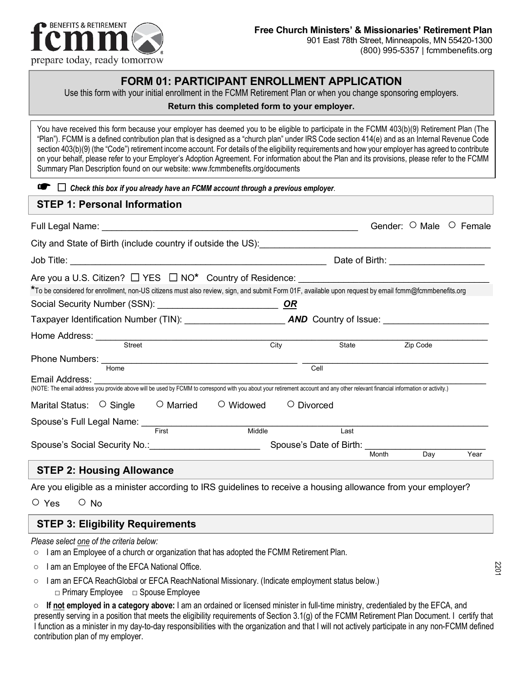

### **FORM 01: PARTICIPANT ENROLLMENT APPLICATION**

Use this form with your initial enrollment in the FCMM Retirement Plan or when you change sponsoring employers.

#### **Return this completed form to your employer.**

You have received this form because your employer has deemed you to be eligible to participate in the FCMM 403(b)(9) Retirement Plan (The "Plan"). FCMM is a defined contribution plan that is designed as a "church plan" under IRS Code section 414(e) and as an Internal Revenue Code section 403(b)(9) (the "Code") retirement income account. For details of the eligibility requirements and how your employer has agreed to contribute on your behalf, please refer to your Employer's Adoption Agreement. For information about the Plan and its provisions, please refer to the FCMM Summary Plan Description found on our website: www.fcmmbenefits.org/documents

|  | $\Box$ Check this box if you already have an FCMM account through a previous employer. |
|--|----------------------------------------------------------------------------------------|
|--|----------------------------------------------------------------------------------------|

# **STEP 1: Personal Information** Full Legal Name: \_\_\_\_\_\_\_\_\_\_\_\_\_\_\_\_\_\_\_\_\_\_\_\_\_\_\_\_\_\_\_\_\_\_\_\_\_\_\_\_\_\_\_\_\_\_\_\_\_\_\_ Gender: ○ Male ○ Female City and State of Birth (include country if outside the US): Job Title: <u>Date of Birth:</u> The second of the second of the second of the second of Birth:  $\Box$  Date of Birth:  $\Box$ Are you a U.S. Citizen? □ YES □ NO<sup>\*</sup> Country of Residence: **\***To be considered for enrollment, non-US citizens must also review, sign, and submit Form 01F, available upon request by email fcmm@fcmmbenefits.org Social Security Number (SSN): \_\_\_\_\_\_\_\_\_\_\_\_\_\_\_\_\_\_\_\_\_\_\_\_ *OR* Taxpayer Identification Number (TIN): **AND** Country of Issue: <u>New York and AND</u> Country of Issue: Home Address: \_\_\_\_\_\_\_\_\_\_\_\_\_\_\_\_\_\_\_\_\_\_\_\_\_\_\_\_\_\_\_\_\_\_\_\_\_\_\_\_\_\_\_\_\_\_\_\_\_\_\_\_\_\_\_\_\_\_\_\_\_\_\_\_\_\_\_\_\_\_\_\_\_\_\_\_\_\_ Street City State Zip Code Phone Numbers: \_\_\_\_\_\_\_\_\_\_\_\_\_\_\_\_\_\_\_\_\_\_\_\_\_\_\_\_\_\_\_\_\_\_\_\_\_\_\_ \_\_\_\_\_\_\_\_\_\_\_\_\_\_\_\_\_\_\_\_\_\_\_\_\_\_\_\_\_\_\_\_\_\_\_\_\_ Home Cell Email Address: (NOTE: The email address you provide above will be used by FCMM to correspond with you about your retirement account and any other relevant financial information or activity.) Marital Status: ○ Single ○ Married ○ Widowed ○ Divorced Spouse's Full Legal Name: \_\_\_\_\_\_\_\_\_\_\_\_\_\_\_\_\_\_\_\_\_\_\_\_\_\_\_\_\_\_\_\_\_\_\_\_\_\_\_\_\_\_\_\_\_\_\_\_\_\_\_\_\_\_\_\_\_\_\_\_\_\_\_\_\_\_\_\_\_ First Middle Last Spouse's Social Security No.:\_\_\_\_\_\_\_\_\_\_\_\_\_\_\_\_\_\_\_\_\_\_ Spouse's Date of Birth: \_\_\_\_\_\_\_\_\_\_\_\_\_\_\_\_\_\_\_\_\_\_\_\_**1999** Month Day Year (1999) Day  $\lambda$  **STEP 2: Housing Allowance**

#### Are you eligible as a minister according to IRS guidelines to receive a housing allowance from your employer?

○ Yes ○ No

### **STEP 3: Eligibility Requirements**

*Please select one of the criteria below:*

- $\circ$  I am an Employee of a church or organization that has adopted the FCMM Retirement Plan.
- I am an Employee of the EFCA National Office.
- I am an EFCA ReachGlobal or EFCA ReachNational Missionary. (Indicate employment status below.) □ Primary Employee □ Spouse Employee

○ **If not employed in a category above:** I am an ordained or licensed minister in full-time ministry, credentialed by the EFCA, and presently serving in a position that meets the eligibility requirements of Section 3.1(g) of the FCMM Retirement Plan Document. I certify that I function as a minister in my day-to-day responsibilities with the organization and that I will not actively participate in any non-FCMM defined contribution plan of my employer.

2201